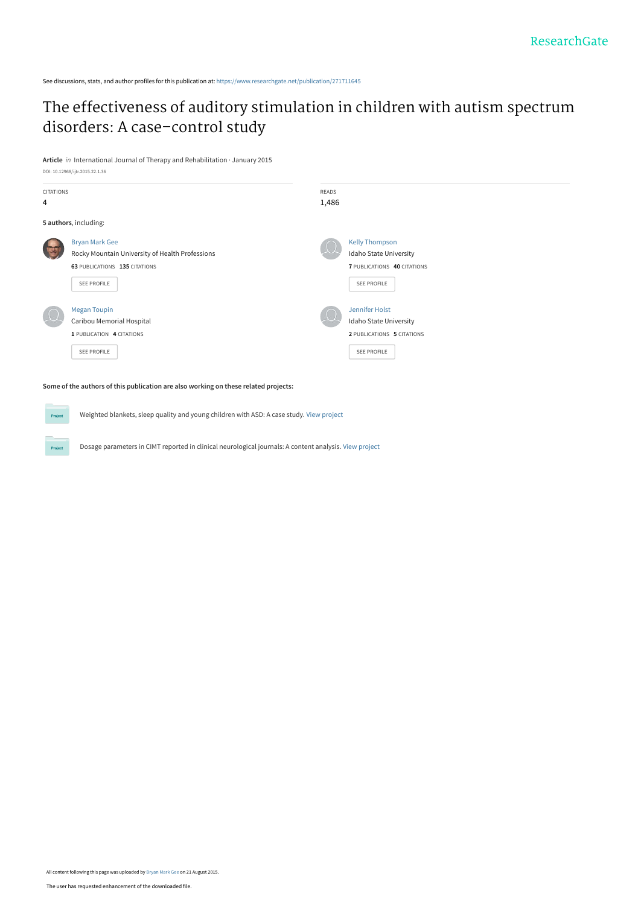See discussions, stats, and author profiles for this publication at: [https://www.researchgate.net/publication/271711645](https://www.researchgate.net/publication/271711645_The_effectiveness_of_auditory_stimulation_in_children_with_autism_spectrum_disorders_A_case-control_study?enrichId=rgreq-1c187c53df45676ac56d4e44e7cd8f2e-XXX&enrichSource=Y292ZXJQYWdlOzI3MTcxMTY0NTtBUzoyNjQ4ODc2NDEzMDkxODRAMTQ0MDE2NTU0MzMzMQ%3D%3D&el=1_x_2&_esc=publicationCoverPdf)

## [The effectiveness of auditory stimulation in children with autism spectrum](https://www.researchgate.net/publication/271711645_The_effectiveness_of_auditory_stimulation_in_children_with_autism_spectrum_disorders_A_case-control_study?enrichId=rgreq-1c187c53df45676ac56d4e44e7cd8f2e-XXX&enrichSource=Y292ZXJQYWdlOzI3MTcxMTY0NTtBUzoyNjQ4ODc2NDEzMDkxODRAMTQ0MDE2NTU0MzMzMQ%3D%3D&el=1_x_3&_esc=publicationCoverPdf) disorders: A case–control study

**Article** in International Journal of Therapy and Rehabilitation · January 2015 DOI: 10.12968/ijtr.2015.22.1.36

| <b>CITATIONS</b><br>4                                                               |                                                                                                                          | READS<br>1,486 |                                                                                               |  |  |
|-------------------------------------------------------------------------------------|--------------------------------------------------------------------------------------------------------------------------|----------------|-----------------------------------------------------------------------------------------------|--|--|
| 5 authors, including:                                                               |                                                                                                                          |                |                                                                                               |  |  |
|                                                                                     | <b>Bryan Mark Gee</b><br>Rocky Mountain University of Health Professions<br>63 PUBLICATIONS 135 CITATIONS<br>SEE PROFILE |                | <b>Kelly Thompson</b><br>Idaho State University<br>7 PUBLICATIONS 40 CITATIONS<br>SEE PROFILE |  |  |
|                                                                                     | <b>Megan Toupin</b><br>Caribou Memorial Hospital<br>1 PUBLICATION 4 CITATIONS<br>SEE PROFILE                             |                | Jennifer Holst<br>Idaho State University<br>2 PUBLICATIONS 5 CITATIONS<br>SEE PROFILE         |  |  |
| Some of the authors of this publication are also working on these related projects: |                                                                                                                          |                |                                                                                               |  |  |

Weighted blankets, sleep quality and young children with ASD: A case study. [View project](https://www.researchgate.net/project/Weighted-blankets-sleep-quality-and-young-children-with-ASD-A-case-study?enrichId=rgreq-1c187c53df45676ac56d4e44e7cd8f2e-XXX&enrichSource=Y292ZXJQYWdlOzI3MTcxMTY0NTtBUzoyNjQ4ODc2NDEzMDkxODRAMTQ0MDE2NTU0MzMzMQ%3D%3D&el=1_x_9&_esc=publicationCoverPdf)

Project

**Project** 

Dosage parameters in CIMT reported in clinical neurological journals: A content analysis. [View project](https://www.researchgate.net/project/Dosage-parameters-in-CIMT-reported-in-clinical-neurological-journals-A-content-analysis?enrichId=rgreq-1c187c53df45676ac56d4e44e7cd8f2e-XXX&enrichSource=Y292ZXJQYWdlOzI3MTcxMTY0NTtBUzoyNjQ4ODc2NDEzMDkxODRAMTQ0MDE2NTU0MzMzMQ%3D%3D&el=1_x_9&_esc=publicationCoverPdf)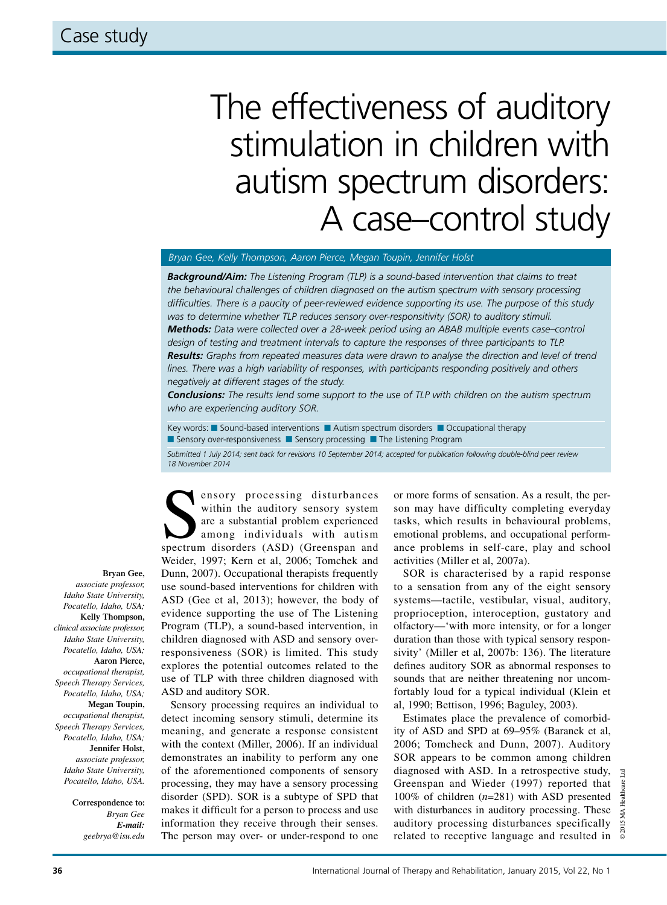# The effectiveness of auditory stimulation in children with autism spectrum disorders: A case–control study

#### *Bryan Gee, Kelly Thompson, Aaron Pierce, Megan Toupin, Jennifer Holst*

*Background/Aim: The Listening Program (TLP) is a sound-based intervention that claims to treat the behavioural challenges of children diagnosed on the autism spectrum with sensory processing difficulties. There is a paucity of peer-reviewed evidence supporting its use. The purpose of this study was to determine whether TLP reduces sensory over-responsitivity (SOR) to auditory stimuli. Methods: Data were collected over a 28-week period using an ABAB multiple events case–control design of testing and treatment intervals to capture the responses of three participants to TLP. Results: Graphs from repeated measures data were drawn to analyse the direction and level of trend lines. There was a high variability of responses, with participants responding positively and others negatively at different stages of the study.* 

*Conclusions: The results lend some support to the use of TLP with children on the autism spectrum who are experiencing auditory SOR.*

Key words: **N** Sound-based interventions **N** Autism spectrum disorders **N** Occupational therapy **n** Sensory over-responsiveness **n** Sensory processing **n** The Listening Program

*Submitted 1 July 2014; sent back for revisions 10 September 2014; accepted for publication following double-blind peer review 18 November 2014*

**Bryan Gee,** 

*associate professor, Idaho State University, Pocatello, Idaho, USA;*  **Kelly Thompson,**  *clinical associate professor, Idaho State University, Pocatello, Idaho, USA;* **Aaron Pierce,**  *occupational therapist, Speech Therapy Services, Pocatello, Idaho, USA;* **Megan Toupin,**  *occupational therapist, Speech Therapy Services, Pocatello, Idaho, USA;* **Jennifer Holst,**  *associate professor, Idaho State University, Pocatello, Idaho, USA.*

> **Correspondence to:**  *Bryan Gee E-mail: geebrya@isu.edu*

ensory processing disturbances<br>
within the auditory sensory system<br>
are a substantial problem experienced<br>
among individuals with autism<br>
spectrum disorders (ASD) (Greenspan and within the auditory sensory system are a substantial problem experienced among individuals with autism Weider, 1997; Kern et al, 2006; Tomchek and Dunn, 2007). Occupational therapists frequently use sound-based interventions for children with ASD (Gee et al, 2013); however, the body of evidence supporting the use of The Listening Program (TLP), a sound-based intervention, in children diagnosed with ASD and sensory overresponsiveness (SOR) is limited. This study explores the potential outcomes related to the use of TLP with three children diagnosed with ASD and auditory SOR.

Sensory processing requires an individual to detect incoming sensory stimuli, determine its meaning, and generate a response consistent with the context (Miller, 2006). If an individual demonstrates an inability to perform any one of the aforementioned components of sensory processing, they may have a sensory processing disorder (SPD). SOR is a subtype of SPD that makes it difficult for a person to process and use information they receive through their senses. The person may over- or under-respond to one

or more forms of sensation. As a result, the person may have difficulty completing everyday tasks, which results in behavioural problems, emotional problems, and occupational performance problems in self-care, play and school activities (Miller et al, 2007a).

SOR is characterised by a rapid response to a sensation from any of the eight sensory systems—tactile, vestibular, visual, auditory, proprioception, interoception, gustatory and olfactory—'with more intensity, or for a longer duration than those with typical sensory responsivity' (Miller et al, 2007b: 136). The literature defines auditory SOR as abnormal responses to sounds that are neither threatening nor uncomfortably loud for a typical individual (Klein et al, 1990; Bettison, 1996; Baguley, 2003).

Estimates place the prevalence of comorbidity of ASD and SPD at 69–95% (Baranek et al, 2006; Tomcheck and Dunn, 2007). Auditory SOR appears to be common among children diagnosed with ASD. In a retrospective study, Greenspan and Wieder (1997) reported that 100% of children (*n*=281) with ASD presented with disturbances in auditory processing. These auditory processing disturbances specifically related to receptive language and resulted in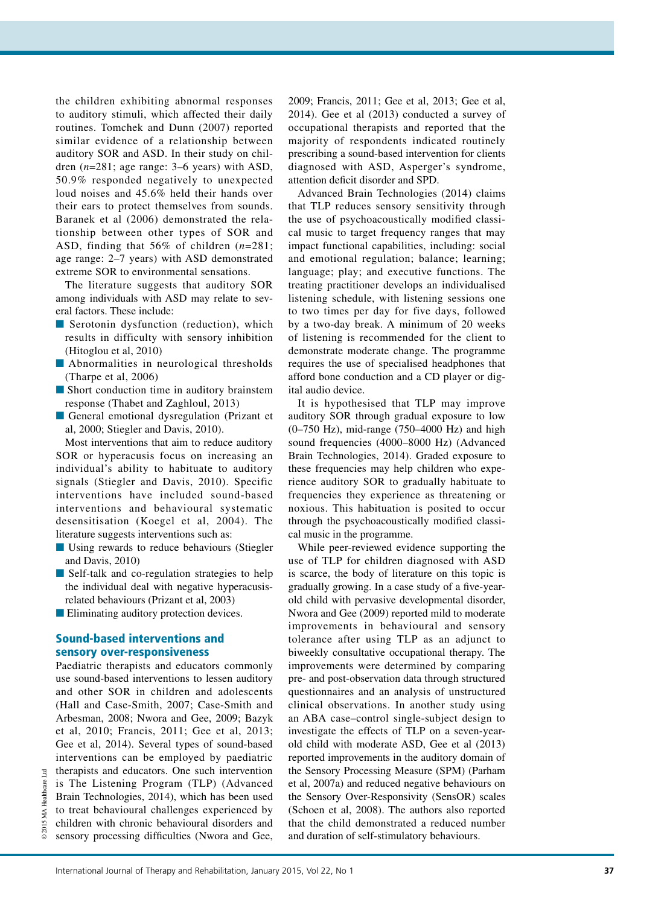the children exhibiting abnormal responses to auditory stimuli, which affected their daily routines. Tomchek and Dunn (2007) reported similar evidence of a relationship between auditory SOR and ASD. In their study on children (*n*=281; age range: 3–6 years) with ASD, 50.9% responded negatively to unexpected loud noises and 45.6% held their hands over their ears to protect themselves from sounds. Baranek et al (2006) demonstrated the relationship between other types of SOR and ASD, finding that 56% of children (*n*=281; age range: 2–7 years) with ASD demonstrated extreme SOR to environmental sensations.

The literature suggests that auditory SOR among individuals with ASD may relate to several factors. These include:

- $\blacksquare$  Serotonin dysfunction (reduction), which results in difficulty with sensory inhibition (Hitoglou et al, 2010)
- **n** Abnormalities in neurological thresholds (Tharpe et al, 2006)
- **n** Short conduction time in auditory brainstem response (Thabet and Zaghloul, 2013)
- General emotional dysregulation (Prizant et al, 2000; Stiegler and Davis, 2010).

Most interventions that aim to reduce auditory SOR or hyperacusis focus on increasing an individual's ability to habituate to auditory signals (Stiegler and Davis, 2010). Specific interventions have included sound-based interventions and behavioural systematic desensitisation (Koegel et al, 2004). The literature suggests interventions such as:

- Using rewards to reduce behaviours (Stiegler and Davis, 2010)
- Self-talk and co-regulation strategies to help the individual deal with negative hyperacusisrelated behaviours (Prizant et al, 2003)
- **n** Eliminating auditory protection devices.

## Sound-based interventions and sensory over-responsiveness

Paediatric therapists and educators commonly use sound-based interventions to lessen auditory and other SOR in children and adolescents (Hall and Case-Smith, 2007; Case-Smith and Arbesman, 2008; Nwora and Gee, 2009; Bazyk et al, 2010; Francis, 2011; Gee et al, 2013; Gee et al, 2014). Several types of sound-based interventions can be employed by paediatric therapists and educators. One such intervention is The Listening Program (TLP) (Advanced Brain Technologies, 2014), which has been used to treat behavioural challenges experienced by children with chronic behavioural disorders and sensory processing difficulties (Nwora and Gee, 2009; Francis, 2011; Gee et al, 2013; Gee et al, 2014). Gee et al (2013) conducted a survey of occupational therapists and reported that the majority of respondents indicated routinely prescribing a sound-based intervention for clients diagnosed with ASD, Asperger's syndrome, attention deficit disorder and SPD.

Advanced Brain Technologies (2014) claims that TLP reduces sensory sensitivity through the use of psychoacoustically modified classical music to target frequency ranges that may impact functional capabilities, including: social and emotional regulation; balance; learning; language; play; and executive functions. The treating practitioner develops an individualised listening schedule, with listening sessions one to two times per day for five days, followed by a two-day break. A minimum of 20 weeks of listening is recommended for the client to demonstrate moderate change. The programme requires the use of specialised headphones that afford bone conduction and a CD player or digital audio device.

It is hypothesised that TLP may improve auditory SOR through gradual exposure to low (0–750 Hz), mid-range (750–4000 Hz) and high sound frequencies (4000–8000 Hz) (Advanced Brain Technologies, 2014). Graded exposure to these frequencies may help children who experience auditory SOR to gradually habituate to frequencies they experience as threatening or noxious. This habituation is posited to occur through the psychoacoustically modified classical music in the programme.

While peer-reviewed evidence supporting the use of TLP for children diagnosed with ASD is scarce, the body of literature on this topic is gradually growing. In a case study of a five-yearold child with pervasive developmental disorder, Nwora and Gee (2009) reported mild to moderate improvements in behavioural and sensory tolerance after using TLP as an adjunct to biweekly consultative occupational therapy. The improvements were determined by comparing pre- and post-observation data through structured questionnaires and an analysis of unstructured clinical observations. In another study using an ABA case–control single-subject design to investigate the effects of TLP on a seven-yearold child with moderate ASD, Gee et al (2013) reported improvements in the auditory domain of the Sensory Processing Measure (SPM) (Parham et al, 2007a) and reduced negative behaviours on the Sensory Over-Responsivity (SensOR) scales (Schoen et al, 2008). The authors also reported that the child demonstrated a reduced number and duration of self-stimulatory behaviours.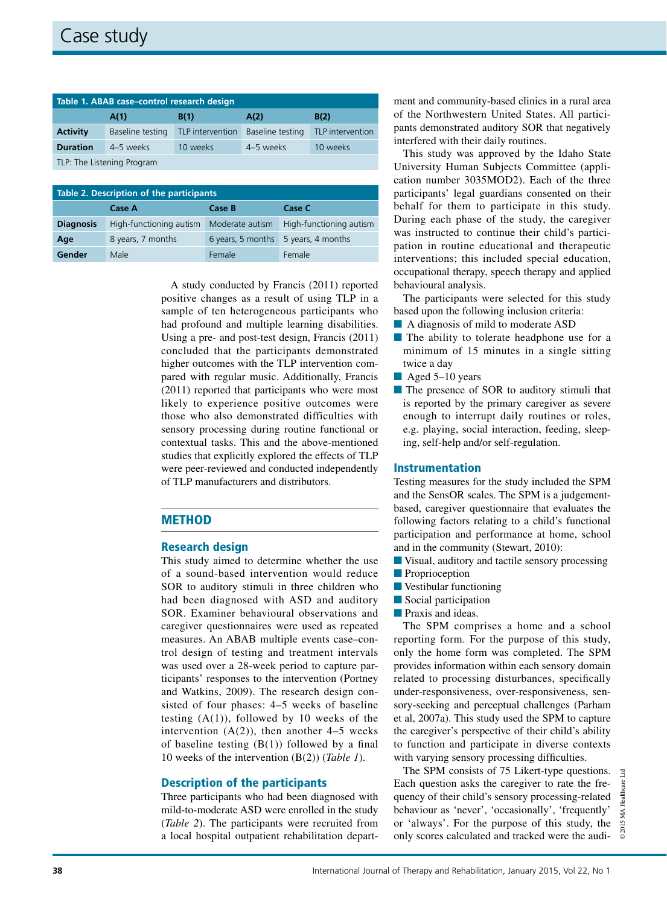| Table 1. ABAB case-control research design |                  |                  |                  |                  |  |  |
|--------------------------------------------|------------------|------------------|------------------|------------------|--|--|
|                                            | A(1)             | B(1)             | A(2)             | B(2)             |  |  |
| <b>Activity</b>                            | Baseline testing | TLP intervention | Baseline testing | TLP intervention |  |  |
| <b>Duration</b>                            | 4-5 weeks        | 10 weeks         | 4–5 weeks        | 10 weeks         |  |  |
| TLP: The Listening Program                 |                  |                  |                  |                  |  |  |

| Table 2. Description of the participants |                         |                   |                         |  |  |  |
|------------------------------------------|-------------------------|-------------------|-------------------------|--|--|--|
|                                          | Case A                  | Case B            | Case C                  |  |  |  |
| <b>Diagnosis</b>                         | High-functioning autism | Moderate autism   | High-functioning autism |  |  |  |
| Age                                      | 8 years, 7 months       | 6 years, 5 months | 5 years, 4 months       |  |  |  |
| Gender                                   | Male                    | Female            | Female                  |  |  |  |

A study conducted by Francis (2011) reported positive changes as a result of using TLP in a sample of ten heterogeneous participants who had profound and multiple learning disabilities. Using a pre- and post-test design, Francis (2011) concluded that the participants demonstrated higher outcomes with the TLP intervention compared with regular music. Additionally, Francis (2011) reported that participants who were most likely to experience positive outcomes were those who also demonstrated difficulties with sensory processing during routine functional or contextual tasks. This and the above-mentioned studies that explicitly explored the effects of TLP were peer-reviewed and conducted independently of TLP manufacturers and distributors.

## **METHOD**

## Research design

This study aimed to determine whether the use of a sound-based intervention would reduce SOR to auditory stimuli in three children who had been diagnosed with ASD and auditory SOR. Examiner behavioural observations and caregiver questionnaires were used as repeated measures. An ABAB multiple events case–control design of testing and treatment intervals was used over a 28-week period to capture participants' responses to the intervention (Portney and Watkins, 2009). The research design consisted of four phases: 4–5 weeks of baseline testing  $(A(1))$ , followed by 10 weeks of the intervention  $(A(2))$ , then another 4–5 weeks of baseline testing  $(B(1))$  followed by a final 10 weeks of the intervention (B(2)) (*Table 1*).

## Description of the participants

Three participants who had been diagnosed with mild-to-moderate ASD were enrolled in the study (*Table 2*). The participants were recruited from a local hospital outpatient rehabilitation department and community-based clinics in a rural area of the Northwestern United States. All participants demonstrated auditory SOR that negatively interfered with their daily routines.

This study was approved by the Idaho State University Human Subjects Committee (application number 3035MOD2). Each of the three participants' legal guardians consented on their behalf for them to participate in this study. During each phase of the study, the caregiver was instructed to continue their child's participation in routine educational and therapeutic interventions; this included special education, occupational therapy, speech therapy and applied behavioural analysis.

The participants were selected for this study based upon the following inclusion criteria:

- A diagnosis of mild to moderate ASD
- $\blacksquare$  The ability to tolerate headphone use for a minimum of 15 minutes in a single sitting twice a day
- $\blacksquare$  Aged 5–10 years
- **n** The presence of SOR to auditory stimuli that is reported by the primary caregiver as severe enough to interrupt daily routines or roles, e.g. playing, social interaction, feeding, sleeping, self-help and/or self-regulation.

## Instrumentation

Testing measures for the study included the SPM and the SensOR scales. The SPM is a judgementbased, caregiver questionnaire that evaluates the following factors relating to a child's functional participation and performance at home, school and in the community (Stewart, 2010):

- Visual, auditory and tactile sensory processing
- **n** Proprioception
- $\blacksquare$  Vestibular functioning
- $\blacksquare$  Social participation
- **n** Praxis and ideas.

The SPM comprises a home and a school reporting form. For the purpose of this study, only the home form was completed. The SPM provides information within each sensory domain related to processing disturbances, specifically under-responsiveness, over-responsiveness, sensory-seeking and perceptual challenges (Parham et al, 2007a). This study used the SPM to capture the caregiver's perspective of their child's ability to function and participate in diverse contexts with varying sensory processing difficulties.

The SPM consists of 75 Likert-type questions. Each question asks the caregiver to rate the frequency of their child's sensory processing-related behaviour as 'never', 'occasionally', 'frequently' or 'always'. For the purpose of this study, the only scores calculated and tracked were the audi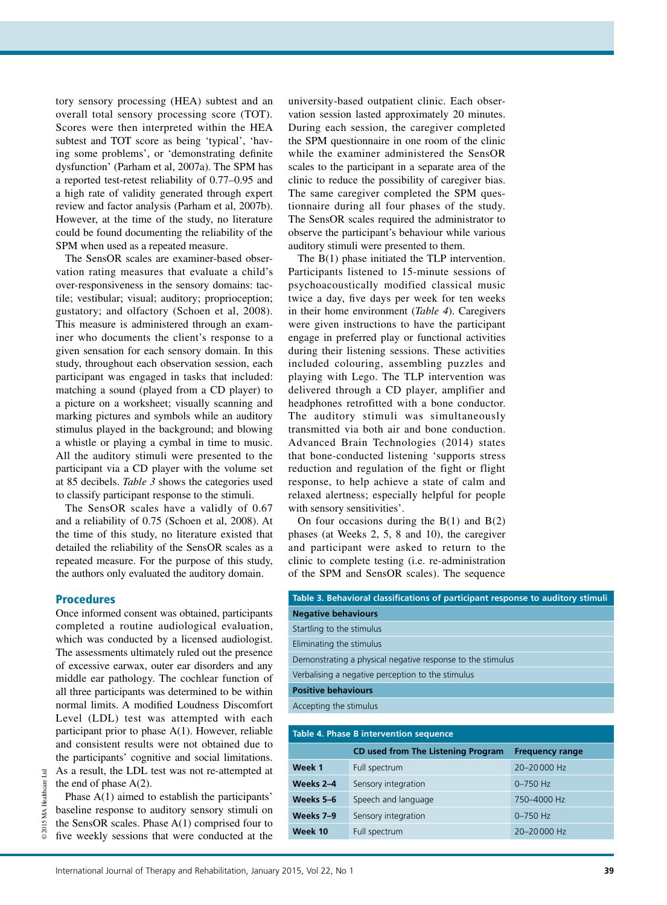tory sensory processing (HEA) subtest and an overall total sensory processing score (TOT). Scores were then interpreted within the HEA subtest and TOT score as being 'typical', 'having some problems', or 'demonstrating definite dysfunction' (Parham et al, 2007a). The SPM has a reported test-retest reliability of 0.77–0.95 and a high rate of validity generated through expert review and factor analysis (Parham et al, 2007b). However, at the time of the study, no literature could be found documenting the reliability of the SPM when used as a repeated measure.

The SensOR scales are examiner-based observation rating measures that evaluate a child's over-responsiveness in the sensory domains: tactile; vestibular; visual; auditory; proprioception; gustatory; and olfactory (Schoen et al, 2008). This measure is administered through an examiner who documents the client's response to a given sensation for each sensory domain. In this study, throughout each observation session, each participant was engaged in tasks that included: matching a sound (played from a CD player) to a picture on a worksheet; visually scanning and marking pictures and symbols while an auditory stimulus played in the background; and blowing a whistle or playing a cymbal in time to music. All the auditory stimuli were presented to the participant via a CD player with the volume set at 85 decibels. *Table 3* shows the categories used to classify participant response to the stimuli.

The SensOR scales have a validly of 0.67 and a reliability of 0.75 (Schoen et al, 2008). At the time of this study, no literature existed that detailed the reliability of the SensOR scales as a repeated measure. For the purpose of this study, the authors only evaluated the auditory domain.

## **Procedures**

© 2015 MA Healthcare Ltd

 $_{\rm Ltd}$ 

Once informed consent was obtained, participants completed a routine audiological evaluation, which was conducted by a licensed audiologist. The assessments ultimately ruled out the presence of excessive earwax, outer ear disorders and any middle ear pathology. The cochlear function of all three participants was determined to be within normal limits. A modified Loudness Discomfort Level (LDL) test was attempted with each participant prior to phase A(1). However, reliable and consistent results were not obtained due to the participants' cognitive and social limitations. As a result, the LDL test was not re-attempted at the end of phase  $A(2)$ .

Phase A(1) aimed to establish the participants' baseline response to auditory sensory stimuli on the SensOR scales. Phase A(1) comprised four to five weekly sessions that were conducted at the university-based outpatient clinic. Each observation session lasted approximately 20 minutes. During each session, the caregiver completed the SPM questionnaire in one room of the clinic while the examiner administered the SensOR scales to the participant in a separate area of the clinic to reduce the possibility of caregiver bias. The same caregiver completed the SPM questionnaire during all four phases of the study. The SensOR scales required the administrator to observe the participant's behaviour while various auditory stimuli were presented to them.

The B(1) phase initiated the TLP intervention. Participants listened to 15-minute sessions of psychoacoustically modified classical music twice a day, five days per week for ten weeks in their home environment (*Table 4*). Caregivers were given instructions to have the participant engage in preferred play or functional activities during their listening sessions. These activities included colouring, assembling puzzles and playing with Lego. The TLP intervention was delivered through a CD player, amplifier and headphones retrofitted with a bone conductor. The auditory stimuli was simultaneously transmitted via both air and bone conduction. Advanced Brain Technologies (2014) states that bone-conducted listening 'supports stress reduction and regulation of the fight or flight response, to help achieve a state of calm and relaxed alertness; especially helpful for people with sensory sensitivities'.

On four occasions during the  $B(1)$  and  $B(2)$ phases (at Weeks 2, 5, 8 and 10), the caregiver and participant were asked to return to the clinic to complete testing (i.e. re-administration of the SPM and SensOR scales). The sequence

| Table 3. Behavioral classifications of participant response to auditory stimuli |  |  |
|---------------------------------------------------------------------------------|--|--|
| <b>Negative behaviours</b>                                                      |  |  |
| Startling to the stimulus                                                       |  |  |
| Eliminating the stimulus                                                        |  |  |
| Demonstrating a physical negative response to the stimulus                      |  |  |
| Verbalising a negative perception to the stimulus                               |  |  |
| <b>Positive behaviours</b>                                                      |  |  |
| Accepting the stimulus                                                          |  |  |
|                                                                                 |  |  |

| Table 4. Phase B intervention sequence |                                           |                        |  |  |
|----------------------------------------|-------------------------------------------|------------------------|--|--|
|                                        | <b>CD used from The Listening Program</b> | <b>Frequency range</b> |  |  |
| Week 1                                 | Full spectrum                             | 20-20000 Hz            |  |  |
| Weeks 2-4                              | Sensory integration                       | $0 - 750$ Hz           |  |  |
| Weeks 5-6                              | Speech and language                       | 750-4000 Hz            |  |  |
| Weeks 7-9                              | Sensory integration                       | $0 - 750$ Hz           |  |  |
| Week 10                                | Full spectrum                             | 20-20000 Hz            |  |  |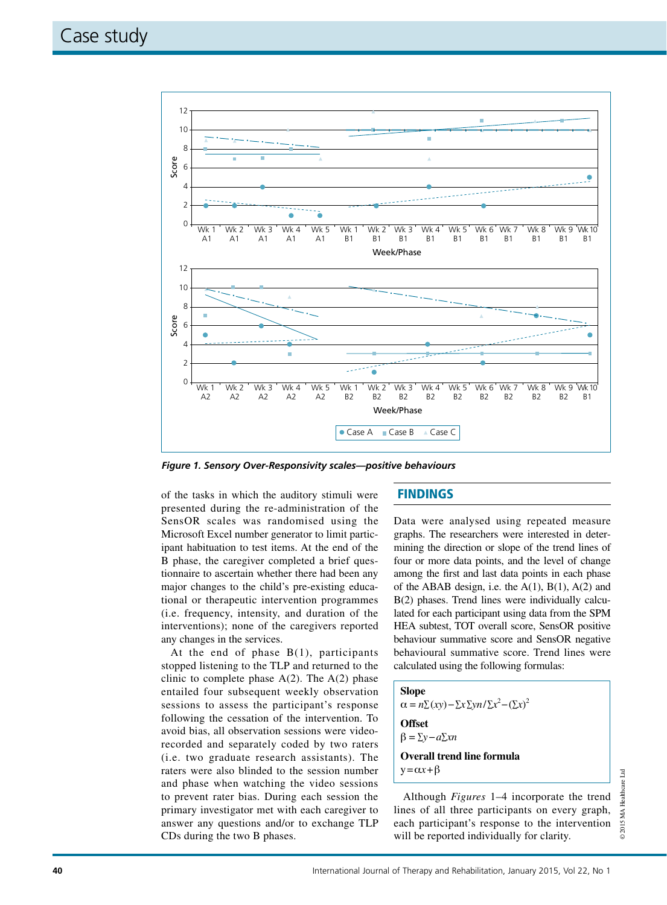

of the tasks in which the auditory stimuli were presented during the re-administration of the SensOR scales was randomised using the Microsoft Excel number generator to limit participant habituation to test items. At the end of the B phase, the caregiver completed a brief questionnaire to ascertain whether there had been any major changes to the child's pre-existing educational or therapeutic intervention programmes (i.e. frequency, intensity, and duration of the interventions); none of the caregivers reported any changes in the services.

At the end of phase B(1), participants stopped listening to the TLP and returned to the clinic to complete phase  $A(2)$ . The  $A(2)$  phase entailed four subsequent weekly observation sessions to assess the participant's response following the cessation of the intervention. To avoid bias, all observation sessions were videorecorded and separately coded by two raters (i.e. two graduate research assistants). The raters were also blinded to the session number and phase when watching the video sessions to prevent rater bias. During each session the primary investigator met with each caregiver to answer any questions and/or to exchange TLP CDs during the two B phases.

## **FINDINGS**

Data were analysed using repeated measure graphs. The researchers were interested in determining the direction or slope of the trend lines of four or more data points, and the level of change among the first and last data points in each phase of the ABAB design, i.e. the  $A(1)$ ,  $B(1)$ ,  $A(2)$  and B(2) phases. Trend lines were individually calculated for each participant using data from the SPM HEA subtest, TOT overall score, SensOR positive behaviour summative score and SensOR negative behavioural summative score. Trend lines were calculated using the following formulas:

## **Slope**  $\alpha = n \Sigma(xy) - \Sigma x \Sigma y n / \Sigma x^2 - (\Sigma x)^2$ **Offset** b = ∑*y*−*a*∑*xn* **Overall trend line formula**

 $y = \alpha x + \beta$ 

Although *Figures* 1–4 incorporate the trend lines of all three participants on every graph, each participant's response to the intervention will be reported individually for clarity.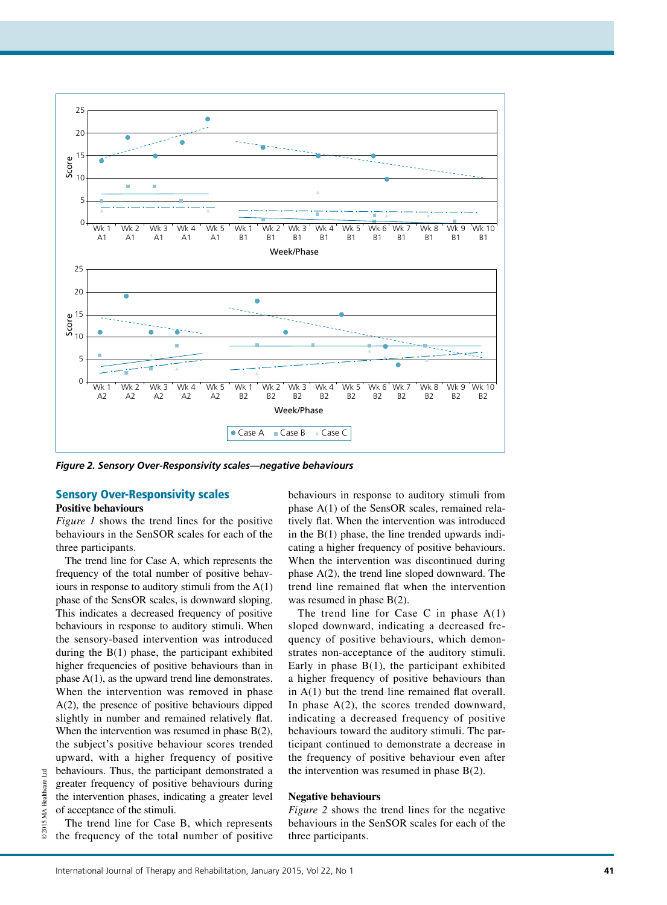

## Sensory Over-Responsivity scales

## **Positive behaviours**

*Figure 1* shows the trend lines for the positive behaviours in the SenSOR scales for each of the three participants.

The trend line for Case A, which represents the frequency of the total number of positive behaviours in response to auditory stimuli from the  $A(1)$ phase of the SensOR scales, is downward sloping. This indicates a decreased frequency of positive behaviours in response to auditory stimuli. When the sensory-based intervention was introduced during the  $B(1)$  phase, the participant exhibited higher frequencies of positive behaviours than in phase A(1), as the upward trend line demonstrates. When the intervention was removed in phase A(2), the presence of positive behaviours dipped slightly in number and remained relatively flat. When the intervention was resumed in phase B(2), the subject's positive behaviour scores trended upward, with a higher frequency of positive behaviours. Thus, the participant demonstrated a greater frequency of positive behaviours during the intervention phases, indicating a greater level of acceptance of the stimuli.

The trend line for Case B, which represents the frequency of the total number of positive behaviours in response to auditory stimuli from phase A(1) of the SensOR scales, remained relatively flat. When the intervention was introduced in the  $B(1)$  phase, the line trended upwards indicating a higher frequency of positive behaviours. When the intervention was discontinued during phase A(2), the trend line sloped downward. The trend line remained flat when the intervention was resumed in phase B(2).

The trend line for Case C in phase  $A(1)$ sloped downward, indicating a decreased frequency of positive behaviours, which demonstrates non-acceptance of the auditory stimuli. Early in phase  $B(1)$ , the participant exhibited a higher frequency of positive behaviours than in A(1) but the trend line remained flat overall. In phase  $A(2)$ , the scores trended downward, indicating a decreased frequency of positive behaviours toward the auditory stimuli. The participant continued to demonstrate a decrease in the frequency of positive behaviour even after the intervention was resumed in phase B(2).

#### **Negative behaviours**

*Figure 2* shows the trend lines for the negative behaviours in the SenSOR scales for each of the three participants.

 $\mathbb{E}$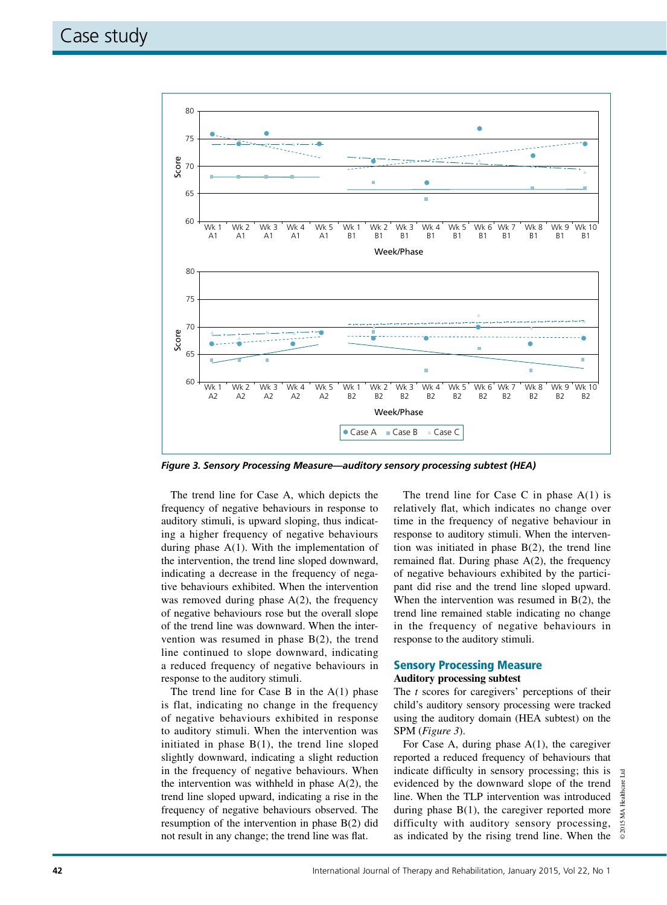

*Figure 3. Sensory Processing Measure—auditory sensory processing subtest (HEA)*

The trend line for Case A, which depicts the frequency of negative behaviours in response to auditory stimuli, is upward sloping, thus indicating a higher frequency of negative behaviours during phase  $A(1)$ . With the implementation of the intervention, the trend line sloped downward, indicating a decrease in the frequency of negative behaviours exhibited. When the intervention was removed during phase  $A(2)$ , the frequency of negative behaviours rose but the overall slope of the trend line was downward. When the intervention was resumed in phase  $B(2)$ , the trend line continued to slope downward, indicating a reduced frequency of negative behaviours in response to the auditory stimuli.

The trend line for Case B in the  $A(1)$  phase is flat, indicating no change in the frequency of negative behaviours exhibited in response to auditory stimuli. When the intervention was initiated in phase  $B(1)$ , the trend line sloped slightly downward, indicating a slight reduction in the frequency of negative behaviours. When the intervention was withheld in phase  $A(2)$ , the trend line sloped upward, indicating a rise in the frequency of negative behaviours observed. The resumption of the intervention in phase B(2) did not result in any change; the trend line was flat.

The trend line for Case C in phase  $A(1)$  is relatively flat, which indicates no change over time in the frequency of negative behaviour in response to auditory stimuli. When the intervention was initiated in phase  $B(2)$ , the trend line remained flat. During phase A(2), the frequency of negative behaviours exhibited by the participant did rise and the trend line sloped upward. When the intervention was resumed in B(2), the trend line remained stable indicating no change in the frequency of negative behaviours in response to the auditory stimuli.

## Sensory Processing Measure

#### **Auditory processing subtest**

The *t* scores for caregivers' perceptions of their child's auditory sensory processing were tracked using the auditory domain (HEA subtest) on the SPM (*Figure 3*).

For Case A, during phase A(1), the caregiver reported a reduced frequency of behaviours that indicate difficulty in sensory processing; this is evidenced by the downward slope of the trend line. When the TLP intervention was introduced during phase  $B(1)$ , the caregiver reported more difficulty with auditory sensory processing, as indicated by the rising trend line. When the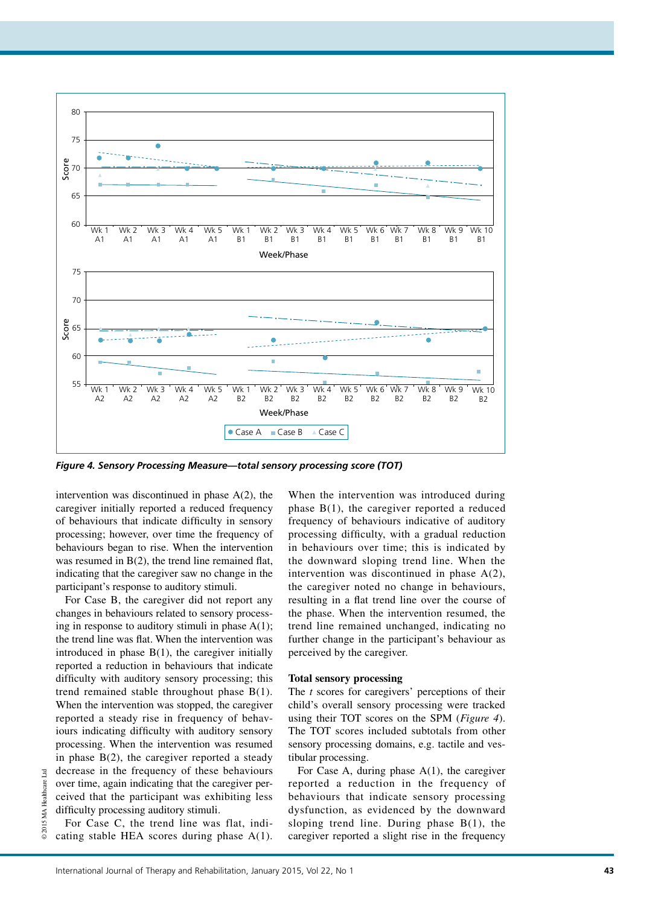

*Figure 4. Sensory Processing Measure—total sensory processing score (TOT)*

intervention was discontinued in phase A(2), the caregiver initially reported a reduced frequency of behaviours that indicate difficulty in sensory processing; however, over time the frequency of behaviours began to rise. When the intervention was resumed in B(2), the trend line remained flat, indicating that the caregiver saw no change in the participant's response to auditory stimuli.

For Case B, the caregiver did not report any changes in behaviours related to sensory processing in response to auditory stimuli in phase  $A(1)$ ; the trend line was flat. When the intervention was introduced in phase  $B(1)$ , the caregiver initially reported a reduction in behaviours that indicate difficulty with auditory sensory processing; this trend remained stable throughout phase  $B(1)$ . When the intervention was stopped, the caregiver reported a steady rise in frequency of behaviours indicating difficulty with auditory sensory processing. When the intervention was resumed in phase  $B(2)$ , the caregiver reported a steady decrease in the frequency of these behaviours over time, again indicating that the caregiver perceived that the participant was exhibiting less difficulty processing auditory stimuli.

For Case C, the trend line was flat, indicating stable HEA scores during phase  $A(1)$ .

When the intervention was introduced during phase  $B(1)$ , the caregiver reported a reduced frequency of behaviours indicative of auditory processing difficulty, with a gradual reduction in behaviours over time; this is indicated by the downward sloping trend line. When the intervention was discontinued in phase  $A(2)$ , the caregiver noted no change in behaviours, resulting in a flat trend line over the course of the phase. When the intervention resumed, the trend line remained unchanged, indicating no further change in the participant's behaviour as perceived by the caregiver.

#### **Total sensory processing**

The *t* scores for caregivers' perceptions of their child's overall sensory processing were tracked using their TOT scores on the SPM (*Figure 4*). The TOT scores included subtotals from other sensory processing domains, e.g. tactile and vestibular processing.

For Case A, during phase  $A(1)$ , the caregiver reported a reduction in the frequency of behaviours that indicate sensory processing dysfunction, as evidenced by the downward sloping trend line. During phase  $B(1)$ , the caregiver reported a slight rise in the frequency

© 2015 MA Healthcare Ltd

2015 MA Healthcare

Ltd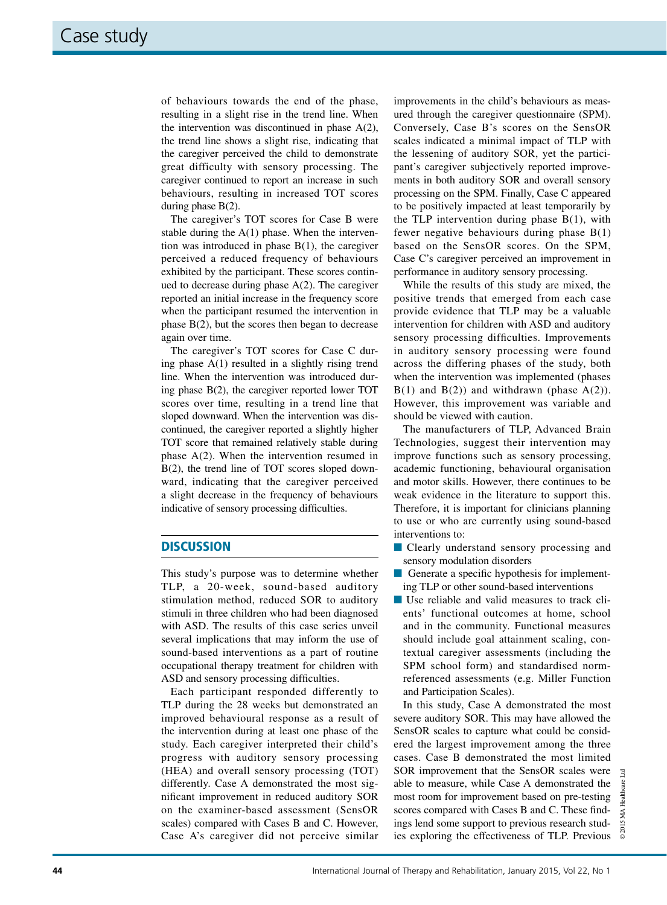of behaviours towards the end of the phase, resulting in a slight rise in the trend line. When the intervention was discontinued in phase A(2), the trend line shows a slight rise, indicating that the caregiver perceived the child to demonstrate great difficulty with sensory processing. The caregiver continued to report an increase in such behaviours, resulting in increased TOT scores during phase B(2).

The caregiver's TOT scores for Case B were stable during the  $A(1)$  phase. When the intervention was introduced in phase  $B(1)$ , the caregiver perceived a reduced frequency of behaviours exhibited by the participant. These scores continued to decrease during phase A(2). The caregiver reported an initial increase in the frequency score when the participant resumed the intervention in phase  $B(2)$ , but the scores then began to decrease again over time.

The caregiver's TOT scores for Case C during phase A(1) resulted in a slightly rising trend line. When the intervention was introduced during phase B(2), the caregiver reported lower TOT scores over time, resulting in a trend line that sloped downward. When the intervention was discontinued, the caregiver reported a slightly higher TOT score that remained relatively stable during phase A(2). When the intervention resumed in B(2), the trend line of TOT scores sloped downward, indicating that the caregiver perceived a slight decrease in the frequency of behaviours indicative of sensory processing difficulties.

## **DISCUSSION**

This study's purpose was to determine whether TLP, a 20-week, sound-based auditory stimulation method, reduced SOR to auditory stimuli in three children who had been diagnosed with ASD. The results of this case series unveil several implications that may inform the use of sound-based interventions as a part of routine occupational therapy treatment for children with ASD and sensory processing difficulties.

Each participant responded differently to TLP during the 28 weeks but demonstrated an improved behavioural response as a result of the intervention during at least one phase of the study. Each caregiver interpreted their child's progress with auditory sensory processing (HEA) and overall sensory processing (TOT) differently. Case A demonstrated the most significant improvement in reduced auditory SOR on the examiner-based assessment (SensOR scales) compared with Cases B and C. However, Case A's caregiver did not perceive similar

improvements in the child's behaviours as measured through the caregiver questionnaire (SPM). Conversely, Case B's scores on the SensOR scales indicated a minimal impact of TLP with the lessening of auditory SOR, yet the participant's caregiver subjectively reported improvements in both auditory SOR and overall sensory processing on the SPM. Finally, Case C appeared to be positively impacted at least temporarily by the TLP intervention during phase  $B(1)$ , with fewer negative behaviours during phase  $B(1)$ based on the SensOR scores. On the SPM, Case C's caregiver perceived an improvement in performance in auditory sensory processing.

While the results of this study are mixed, the positive trends that emerged from each case provide evidence that TLP may be a valuable intervention for children with ASD and auditory sensory processing difficulties. Improvements in auditory sensory processing were found across the differing phases of the study, both when the intervention was implemented (phases  $B(1)$  and  $B(2)$ ) and withdrawn (phase  $A(2)$ ). However, this improvement was variable and should be viewed with caution.

The manufacturers of TLP, Advanced Brain Technologies, suggest their intervention may improve functions such as sensory processing, academic functioning, behavioural organisation and motor skills. However, there continues to be weak evidence in the literature to support this. Therefore, it is important for clinicians planning to use or who are currently using sound-based interventions to:

- **n** Clearly understand sensory processing and sensory modulation disorders
- $\blacksquare$  Generate a specific hypothesis for implementing TLP or other sound-based interventions
- $\blacksquare$  Use reliable and valid measures to track clients' functional outcomes at home, school and in the community. Functional measures should include goal attainment scaling, contextual caregiver assessments (including the SPM school form) and standardised normreferenced assessments (e.g. Miller Function and Participation Scales).

In this study, Case A demonstrated the most severe auditory SOR. This may have allowed the SensOR scales to capture what could be considered the largest improvement among the three cases. Case B demonstrated the most limited SOR improvement that the SensOR scales were able to measure, while Case A demonstrated the most room for improvement based on pre-testing scores compared with Cases B and C. These findings lend some support to previous research studies exploring the effectiveness of TLP. Previous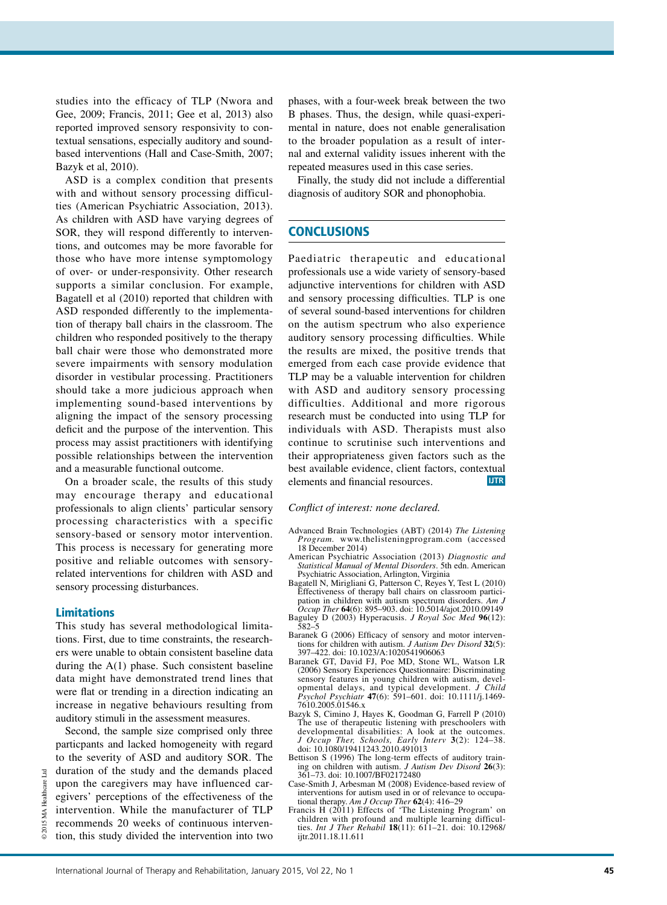studies into the efficacy of TLP (Nwora and Gee, 2009; Francis, 2011; Gee et al, 2013) also reported improved sensory responsivity to contextual sensations, especially auditory and soundbased interventions (Hall and Case-Smith, 2007; Bazyk et al, 2010).

ASD is a complex condition that presents with and without sensory processing difficulties (American Psychiatric Association, 2013). As children with ASD have varying degrees of SOR, they will respond differently to interventions, and outcomes may be more favorable for those who have more intense symptomology of over- or under-responsivity. Other research supports a similar conclusion. For example, Bagatell et al (2010) reported that children with ASD responded differently to the implementation of therapy ball chairs in the classroom. The children who responded positively to the therapy ball chair were those who demonstrated more severe impairments with sensory modulation disorder in vestibular processing. Practitioners should take a more judicious approach when implementing sound-based interventions by aligning the impact of the sensory processing deficit and the purpose of the intervention. This process may assist practitioners with identifying possible relationships between the intervention and a measurable functional outcome.

On a broader scale, the results of this study may encourage therapy and educational professionals to align clients' particular sensory processing characteristics with a specific sensory-based or sensory motor intervention. This process is necessary for generating more positive and reliable outcomes with sensoryrelated interventions for children with ASD and sensory processing disturbances.

### Limitations

© 2015 MA Healthcare Ltd

Ltd

This study has several methodological limitations. First, due to time constraints, the researchers were unable to obtain consistent baseline data during the  $A(1)$  phase. Such consistent baseline data might have demonstrated trend lines that were flat or trending in a direction indicating an increase in negative behaviours resulting from auditory stimuli in the assessment measures.

Second, the sample size comprised only three particpants and lacked homogeneity with regard to the severity of ASD and auditory SOR. The duration of the study and the demands placed upon the caregivers may have influenced caregivers' perceptions of the effectiveness of the intervention. While the manufacturer of TLP recommends 20 weeks of continuous intervention, this study divided the intervention into two phases, with a four-week break between the two B phases. Thus, the design, while quasi-experimental in nature, does not enable generalisation to the broader population as a result of internal and external validity issues inherent with the repeated measures used in this case series.

Finally, the study did not include a differential diagnosis of auditory SOR and phonophobia.

## **CONCLUSIONS**

Paediatric therapeutic and educational professionals use a wide variety of sensory-based adjunctive interventions for children with ASD and sensory processing difficulties. TLP is one of several sound-based interventions for children on the autism spectrum who also experience auditory sensory processing difficulties. While the results are mixed, the positive trends that emerged from each case provide evidence that TLP may be a valuable intervention for children with ASD and auditory sensory processing difficulties. Additional and more rigorous research must be conducted into using TLP for individuals with ASD. Therapists must also continue to scrutinise such interventions and their appropriateness given factors such as the best available evidence, client factors, contextual elements and financial resources. **IJTR**

#### *Conflict of interest: none declared.*

- Advanced Brain Technologies (ABT) (2014) *The Listening Program.* www.thelisteningprogram.com (accessed 18 December 2014)
- American Psychiatric Association (2013) *Diagnostic and Statistical Manual of Mental Disorders*. 5th edn. American Psychiatric Association, Arlington, Virginia
- Bagatell N, Mirigliani G, Patterson C, Reyes Y, Test L (2010) Effectiveness of therapy ball chairs on classroom participation in children with autism spectrum disorders. *Am J Occup Ther* **64**(6): 895–903. doi: 10.5014/ajot.2010.09149
- Baguley D (2003) Hyperacusis. *J Royal Soc Med* **96**(12): 582–5 Baranek G (2006) Efficacy of sensory and motor interven-
- tions for children with autism. *J Autism Dev Disord* **32**(5): 397–422. doi: 10.1023/A:1020541906063 Baranek GT, David FJ, Poe MD, Stone WL, Watson LR
- (2006) Sensory Experiences Questionnaire: Discriminating sensory features in young children with autism, developmental delays, and typical development. *J Child Psychol Psychiatr* **47**(6): 591–601. doi: 10.1111/j.1469- 7610.2005.01546.x
- Bazyk S, Cimino J, Hayes K, Goodman G, Farrell P (2010) The use of therapeutic listening with preschoolers with developmental disabilities: A look at the outcomes. *J Occup Ther, Schools, Early Interv* **3**(2): 124–38. doi: 10.1080/19411243.2010.491013
- Bettison S (1996) The long-term effects of auditory training on children with autism. *J Autism Dev Disord* **26**(3): 361–73. doi: 10.1007/BF02172480
- Case-Smith J, Arbesman M (2008) Evidence-based review of interventions for autism used in or of relevance to occupational therapy. *Am J Occup Ther* **62**(4): 416–29
- Francis H (2011) Effects of 'The Listening Program' on children with profound and multiple learning difficul-ties. *Int J Ther Rehabil* **18**(11): 611–21. doi: 10.12968/ ijtr.2011.18.11.611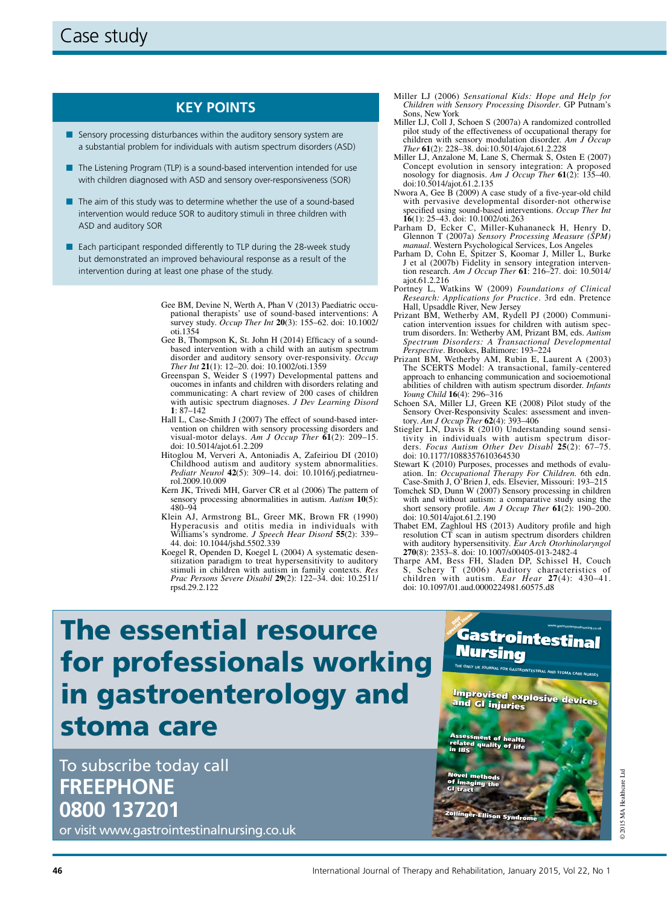## **Key points**

- $\blacksquare$  Sensory processing disturbances within the auditory sensory system are a substantial problem for individuals with autism spectrum disorders (ASD)
- $\blacksquare$  The Listening Program (TLP) is a sound-based intervention intended for use with children diagnosed with ASD and sensory over-responsiveness (SOR)
- $\blacksquare$  The aim of this study was to determine whether the use of a sound-based intervention would reduce SOR to auditory stimuli in three children with ASD and auditory SOR
- Each participant responded differently to TLP during the 28-week study but demonstrated an improved behavioural response as a result of the intervention during at least one phase of the study.
	- Gee BM, Devine N, Werth A, Phan V (2013) Paediatric occupational therapists' use of sound‐based interventions: A survey study. *Occup Ther Int* **20**(3): 155–62. doi: 10.1002/ oti.1354
	- Gee B, Thompson K, St. John H (2014) Efficacy of a soundbased intervention with a child with an autism spectrum disorder and auditory sensory over-responsivity. *Occup Ther Int* **21**(1): 12–20. doi: 10.1002/oti.1359
	- Greenspan S, Weider S (1997) Developmental pattens and oucomes in infants and children with disorders relating and communicating: A chart review of 200 cases of children with autisic spectrum diagnoses. *J Dev Learning Disord* **1**: 87–142
	- Hall L, Case-Smith J (2007) The effect of sound-based intervention on children with sensory processing disorders and visual-motor delays. *Am J Occup Ther* **61**(2): 209–15. doi: 10.5014/ajot.61.2.209
	- Hitoglou M, Ververi A, Antoniadis A, Zafeiriou DI (2010) Childhood autism and auditory system abnormalities. *Pediatr Neurol* **42**(5): 309–14. doi: 10.1016/j.pediatrneurol.2009.10.009
	- Kern JK, Trivedi MH, Garver CR et al (2006) The pattern of sensory processing abnormalities in autism. *Autism* **10**(5): 480–94
	- Klein AJ, Armstrong BL, Greer MK, Brown FR (1990) Hyperacusis and otitis media in individuals with Williams's syndrome. *J Speech Hear Disord* **55**(2): 339– 44. doi: 10.1044/jshd.5502.339
	- Koegel R, Openden D, Koegel L (2004) A systematic desensitization paradigm to treat hypersensitivity to auditory stimuli in children with autism in family contexts. *Res Prac Persons Severe Disabil* **29**(2): 122–34. doi: 10.2511/ rpsd.29.2.122
- Miller LJ (2006) *Sensational Kids: Hope and Help for Children with Sensory Processing Disorder*. GP Putnam's Sons, New York
- Miller LJ, Coll J, Schoen S (2007a) A randomized controlled pilot study of the effectiveness of occupational therapy for children with sensory modulation disorder. *Am J Occup Ther* **61**(2): 228–38. doi:10.5014/ajot.61.2.228
- Miller LJ, Anzalone M, Lane S, Chermak S, Osten E (2007) Concept evolution in sensory integration: A proposed nosology for diagnosis. *Am J Occup Ther* **61**(2): 135–40. doi:10.5014/ajot.61.2.135
- Nwora A, Gee B (2009) A case study of a five-year-old child with pervasive developmental disorder-not otherwise specified using sound-based interventions. *Occup Ther Int* **16**(1): 25–43. doi: 10.1002/oti.263
- Parham D, Ecker C, Miller-Kuhananeck H, Henry D, Glennon T (2007a) *Sensory Processing Measure (SPM) manual*. Western Psychological Services, Los Angeles
- Parham D, Cohn E, Spitzer S, Koomar J, Miller L, Burke J et al (2007b) Fidelity in sensory integration intervention research. *Am J Occup Ther* **61**: 216–27. doi: 10.5014/ ajot.61.2.216
- Portney L, Watkins W (2009) *Foundations of Clinical Research: Applications for Practice*. 3rd edn. Pretence Hall, Upsaddle River, New Jersey
- Prizant BM, Wetherby AM, Rydell PJ (2000) Communication intervention issues for children with autism spectrum disorders. In: Wetherby AM, Prizant BM, eds. *Autism Spectrum Disorders: A Transactional Developmental Perspective*. Brookes, Baltimore: 193–224
- Prizant BM, Wetherby AM, Rubin E, Laurent A (2003) The SCERTS Model: A transactional, family-centered approach to enhancing communication and socioemotional abilities of children with autism spectrum disorder. *Infants Young Child* **16**(4): 296–316
- Schoen SA, Miller LJ, Green KE (2008) Pilot study of the Sensory Over-Responsivity Scales: assessment and inventory. *Am J Occup Ther* **62**(4): 393–406
- Stiegler LN, Davis R (2010) Understanding sound sensitivity in individuals with autism spectrum disor-ders. *Focus Autism Other Dev Disabl* **25**(2): 67–75. doi: 10.1177/1088357610364530
- Stewart K (2010) Purposes, processes and methods of evaluation. In: *Occupational Therapy For Children.* 6th edn. Case-Smith J, O'Brien J, eds. Elsevier, Missouri: 193–215
- Tomchek SD, Dunn W (2007) Sensory processing in children with and without autism: a comparative study using the short sensory profile. *Am J Occup Ther* **61**(2): 190–200. doi: 10.5014/ajot.61.2.190
- Thabet EM, Zaghloul HS (2013) Auditory profile and high resolution CT scan in autism spectrum disorders children with auditory hypersensitivity. *Eur Arch Otorhinolaryngol*  **270**(8): 2353–8. doi: 10.1007/s00405-013-2482-4
- Tharpe AM, Bess FH, Sladen DP, Schissel H, Couch S, Schery T (2006) Auditory characteristics of children with autism. *Ear Hear* 27(4): 430-41. with autism. *Ear Hear*  $27(4)$ : 430–41. doi: 10.1097/01.aud.0000224981.60575.d8

**Nursing** 

**www.gastrointestinalnursing.co.uk** 

# The essential resource for professionals working in gastroenterology and stoma care

To subscribe today call **FREEPHONE 0800 137201** 

or visit www.gastrointestinalnursing.co.uk



**THE ONLY UK JOURNAL FOR GASTROINTESTINAL AND STOMA CARE NURSES**

GIN\_10\_5\_1\_Cover.indd 1

in IBS

GI tract